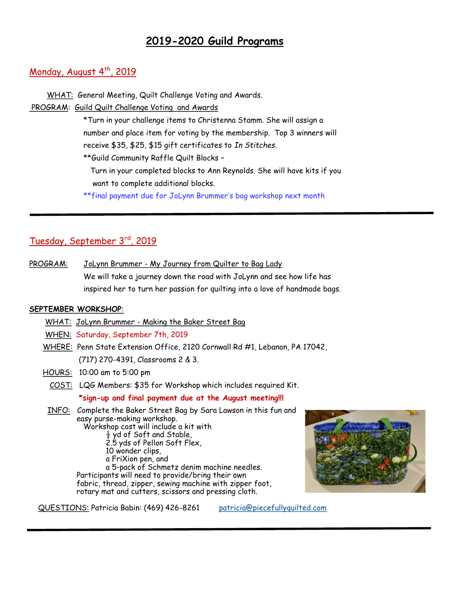# **2019-2020 Guild Programs**

# Monday, August  $4^{th}$ , 2019

 WHAT: General Meeting, Quilt Challenge Voting and Awards. PROGRAM: Guild Quilt Challenge Voting and Awards

\*Turn in your challenge items to Christenna Stamm. She will assign a number and place item for voting by the membership. Top 3 winners will receive \$35, \$25, \$15 gift certificates to *In Stitches.* \*\*Guild Community Raffle Quilt Blocks –

 Turn in your completed blocks to Ann Reynolds. She will have kits if you want to complete additional blocks.

\*\*final payment due for JoLynn Brummer's bag workshop next month

# Tuesday, September 3rd, 2019

PROGRAM: JoLynn Brummer - My Journey from Quilter to Bag Lady We will take a journey down the road with JoLynn and see how life has inspired her to turn her passion for quilting into a love of handmade bags.

## **SEPTEMBER WORKSHOP**:

l

WHAT: JoLynn Brummer - Making the Baker Street Bag

WHEN: Saturday, September 7th, 2019

 WHERE: Penn State Extension Office, 2120 Cornwall Rd #1, Lebanon, PA 17042, (717) 270-4391, Classrooms 2 & 3.

HOURS: 10:00 am to 5:00 pm

COST: LQG Members: \$35 for Workshop which includes required Kit.

**\*sign-up and final payment due at the August meeting!!!**

 INFO: Complete the Baker Street Bag by Sara Lawson in this fun and easy purse-making workshop. Workshop cost will include a kit with  $\frac{1}{2}$  yd of Soft and Stable, 2.5 yds of Pellon Soft Flex, 10 wonder clips, a FriXion pen, and a 5-pack of Schmetz denim machine needles. Participants will need to provide/bring their own fabric, thread, zipper, sewing machine with zipper foot, rotary mat and cutters, scissors and pressing cloth.



QUESTIONS: Patricia Babin: (469) 426-8261 [patricia@piecefullyquilted.com](mailto:patricia@piecefullyquilted.com)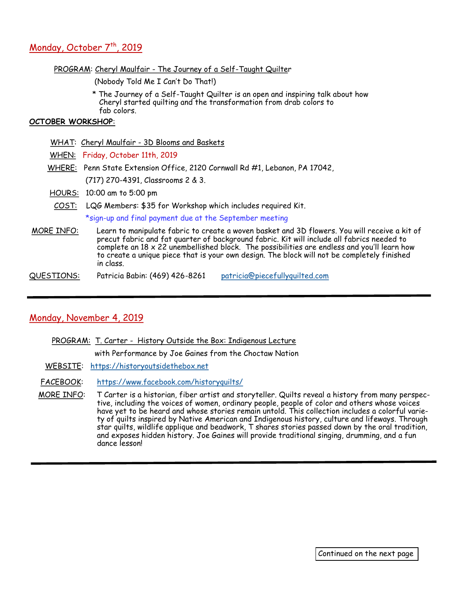# Monday, October 7<sup>th</sup>, 2019

#### PROGRAM: Cheryl Maulfair - The Journey of a Self-Taught Quilter

(Nobody Told Me I Can't Do That!)

 \* The Journey of a Self-Taught Quilter is an open and inspiring talk about how Cheryl started quilting and the transformation from drab colors to fab colors.

### **OCTOBER WORKSHOP**:

- WHAT: Cheryl Maulfair 3D Blooms and Baskets
- WHEN: Friday, October 11th, 2019
- WHERE: Penn State Extension Office, 2120 Cornwall Rd #1, Lebanon, PA 17042,

(717) 270-4391, Classrooms 2 & 3.

- HOURS: 10:00 am to 5:00 pm
- COST: LQG Members: \$35 for Workshop which includes required Kit.

\*sign-up and final payment due at the September meeting

- MORE INFO: Learn to manipulate fabric to create a woven basket and 3D flowers. You will receive a kit of precut fabric and fat quarter of background fabric. Kit will include all fabrics needed to complete an 18 x 22 unembellished block. The possibilities are endless and you'll learn how to create a unique piece that is your own design. The block will not be completely finished in class.
- QUESTIONS: Patricia Babin: (469) 426-8261 [patricia@piecefullyquilted.com](mailto:patricia@piecefullyquilted.com)

# Monday, November 4, 2019

PROGRAM: T. Carter - History Outside the Box: Indigenous Lecture

with Performance by Joe Gaines from the Choctaw Nation

WEBSITE: <https://historyoutsidethebox.net>

FACEBOOK: <https://www.facebook.com/historyquilts/>

MORE INFO: T Carter is a historian, fiber artist and storyteller. Quilts reveal a history from many perspective, including the voices of women, ordinary people, people of color and others whose voices have yet to be heard and whose stories remain untold. This collection includes a colorful variety of quilts inspired by Native American and Indigenous history, culture and lifeways. Through star quilts, wildlife applique and beadwork, T shares stories passed down by the oral tradition, and exposes hidden history. Joe Gaines will provide traditional singing, drumming, and a fun dance lesson!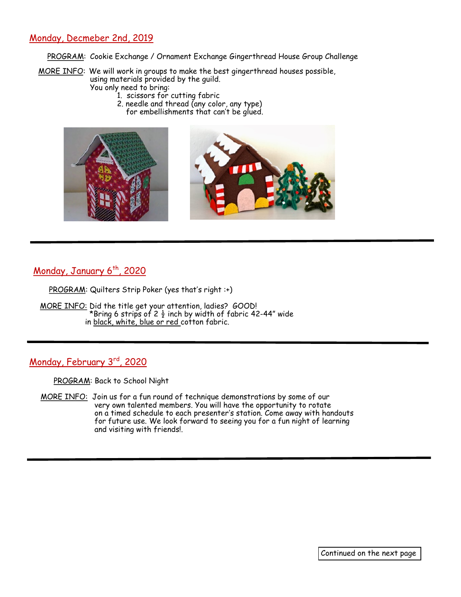# Monday, Decmeber 2nd, 2019

PROGRAM: Cookie Exchange / Ornament Exchange Gingerthread House Group Challenge

 MORE INFO: We will work in groups to make the best gingerthread houses possible, using materials provided by the guild. You only need to bring:

- 1. scissors for cutting fabric
	- 2. needle and thread (any color, any type) for embellishments that can't be glued.



Monday, January 6<sup>th</sup>, 2020

PROGRAM: Quilters Strip Poker (yes that's right :+)

 MORE INFO: Did the title get your attention, ladies? GOOD! \*Bring 6 strips of 2  $\frac{1}{2}$  inch by width of fabric 42-44" wide in black, white, blue or red cotton fabric.

Monday, February 3rd, 2020

PROGRAM: Back to School Night

MORE INFO: Join us for a fun round of technique demonstrations by some of our very own talented members. You will have the opportunity to rotate on a timed schedule to each presenter's station. Come away with handouts for future use. We look forward to seeing you for a fun night of learning and visiting with friends!.

Continued on the next page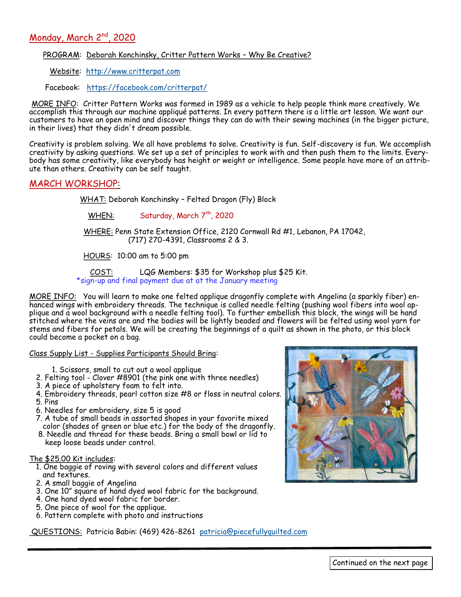# Monday, March 2<sup>nd</sup>, 2020

## PROGRAM: Deborah Konchinsky, Critter Pattern Works - Why Be Creative?

Website: <http://www.critterpat.com>

Facebook: <https://facebook.com/critterpat/>

MORE INFO: Critter Pattern Works was formed in 1989 as a vehicle to help people think more creatively. We accomplish this through our machine appliqué patterns. In every pattern there is a little art lesson. We want our customers to have an open mind and discover things they can do with their sewing machines (in the bigger picture, in their lives) that they didn't dream possible.

Creativity is problem solving. We all have problems to solve. Creativity is fun. Self-discovery is fun. We accomplish creativity by asking questions. We set up a set of principles to work with and then push them to the limits. Everybody has some creativity, like everybody has height or weight or intelligence. Some people have more of an attribute than others. Creativity can be self taught.

#### MARCH WORKSHOP: ٦

WHAT: Deborah Konchinsky – Felted Dragon (Fly) Block

WHEN: Saturday, March 7<sup>th</sup>, 2020

 WHERE: Penn State Extension Office, 2120 Cornwall Rd #1, Lebanon, PA 17042, (717) 270-4391, Classrooms 2 & 3.

HOURS: 10:00 am to 5:00 pm

 COST: LQG Members: \$35 for Workshop plus \$25 Kit. \*sign-up and final payment due at at the January meeting

MORE INFO: You will learn to make one felted applique dragonfly complete with Angelina (a sparkly fiber) enhanced wings with embroidery threads. The technique is called needle felting (pushing wool fibers into wool applique and a wool background with a needle felting tool). To further embellish this block, the wings will be hand stitched where the veins are and the bodies will be lightly beaded and flowers will be felted using wool yarn for stems and fibers for petals. We will be creating the beginnings of a quilt as shown in the photo, or this block could become a pocket on a bag.

Class Supply List - Supplies Participants Should Bring:

- 1. Scissors, small to cut out a wool applique
- 2. Felting tool Clover #8901 (the pink one with three needles)
- 3. A piece of upholstery foam to felt into.
- 4. Embroidery threads, pearl cotton size #8 or floss in neutral colors.
- 5. Pins
- 6. Needles for embroidery, size 5 is good
- 7. A tube of small beads in assorted shapes in your favorite mixed color (shades of green or blue etc.) for the body of the dragonfly.
- 8. Needle and thread for these beads. Bring a small bowl or lid to keep loose beads under control.

#### The \$25.00 Kit includes:

- 1. One baggie of roving with several colors and different values and textures.
- 2. A small baggie of Angelina
- 3. One 10" square of hand dyed wool fabric for the background.
- 4. One hand dyed wool fabric for border.
- 5. One piece of wool for the applique.
- 6. Pattern complete with photo and instructions

QUESTIONS: Patricia Babin: (469) 426-8261 [patricia@piecefullyquilted.com](mailto:patricia@piecefullyquilted.com)

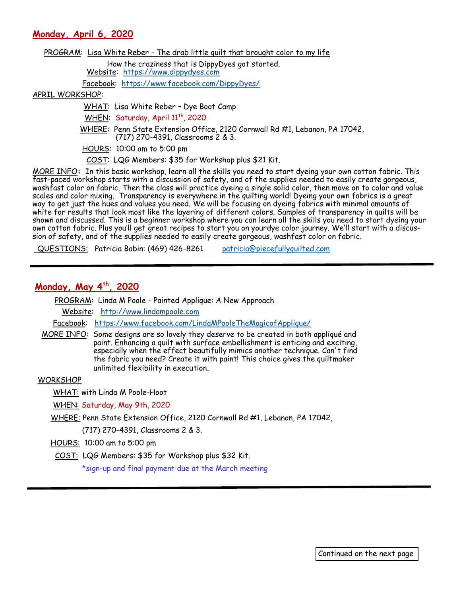**Monday, April 6, 2020** 

PROGRAM: Lisa White Reber - The drab little quilt that brought color to my life

 How the craziness that is DippyDyes got started. Website: <https://www.dippydyes.com>

Facebook: <https://www.facebook.com/DippyDyes/>

#### APRIL WORKSHOP:

WHAT: Lisa White Reber – Dye Boot Camp

WHEN: Saturday, April 11<sup>th</sup>, 2020

 WHERE: Penn State Extension Office, 2120 Cornwall Rd #1, Lebanon, PA 17042, (717) 270-4391, Classrooms 2 & 3.

HOURS: 10:00 am to 5:00 pm

COST: LQG Members: \$35 for Workshop plus \$21 Kit.

MORE INFO**:** In this basic workshop, learn all the skills you need to start dyeing your own cotton fabric. This fast-paced workshop starts with a discussion of safety, and of the supplies needed to easily create gorgeous, washfast color on fabric. Then the class will practice dyeing a single solid color, then move on to color and value scales and color mixing. Transparency is everywhere in the quilting world! Dyeing your own fabrics is a great way to get just the hues and values you need. We will be focusing on dyeing fabrics with minimal amounts of white for results that look most like the layering of different colors. Samples of transparency in quilts will be shown and discussed. This is a beginner workshop where you can learn all the skills you need to start dyeing your own cotton fabric. Plus you'll get great recipes to start you on yourdye color journey. We'll start with a discussion of safety, and of the supplies needed to easily create gorgeous, washfast color on fabric.

QUESTIONS: Patricia Babin: (469) 426-8261 [patricia@piecefullyquilted.com](mailto:patricia@piecefullyquilted.com)

# **Monday, May 4th, 2020**

PROGRAM: Linda M Poole - Painted Applique: A New Approach

Website: <http://www.lindampoole.com>

Facebook: <https://www.facebook.com/LindaMPooleTheMagicofApplique/>

 MORE INFO: Some designs are so lovely they deserve to be created in both appliqué and paint. Enhancing a quilt with surface embellishment is enticing and exciting, especially when the effect beautifully mimics another technique. Can't find the fabric you need? Create it with paint! This choice gives the quiltmaker unlimited flexibility in execution.

#### WORKSHOP

WHAT: with Linda M Poole-Hoot

WHEN: Saturday, May 9th, 2020

WHERE: Penn State Extension Office, 2120 Cornwall Rd #1, Lebanon, PA 17042,

(717) 270-4391, Classrooms 2 & 3.

HOURS: 10:00 am to 5:00 pm

COST: LQG Members: \$35 for Workshop plus \$32 Kit.

\*sign-up and final payment due at the March meeting

Continued on the next page